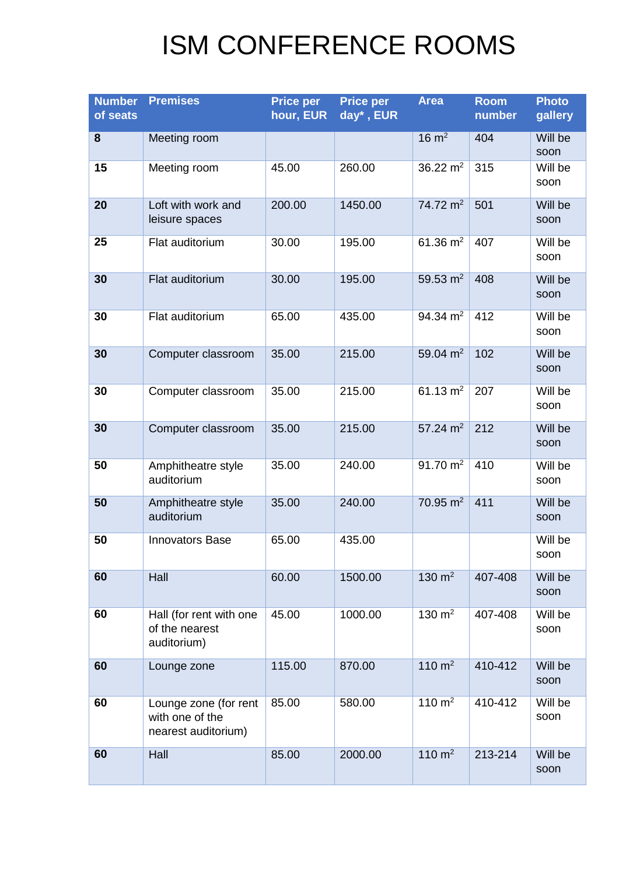## ISM CONFERENCE ROOMS

| <b>Number</b><br>of seats | <b>Premises</b>                                                 | <b>Price per</b><br>hour, EUR | <b>Price per</b><br>day*, EUR | <b>Area</b>       | <b>Room</b><br>number | <b>Photo</b><br>gallery |
|---------------------------|-----------------------------------------------------------------|-------------------------------|-------------------------------|-------------------|-----------------------|-------------------------|
| 8                         | Meeting room                                                    |                               |                               | $16 \text{ m}^2$  | 404                   | Will be<br>soon         |
| 15                        | Meeting room                                                    | 45.00                         | 260.00                        | 36.22 $m2$        | 315                   | Will be<br>soon         |
| 20                        | Loft with work and<br>leisure spaces                            | 200.00                        | 1450.00                       | 74.72 $m2$        | 501                   | Will be<br>soon         |
| 25                        | Flat auditorium                                                 | 30.00                         | 195.00                        | 61.36 $m2$        | 407                   | Will be<br>soon         |
| 30                        | Flat auditorium                                                 | 30.00                         | 195.00                        | 59.53 $m2$        | 408                   | Will be<br>soon         |
| 30                        | Flat auditorium                                                 | 65.00                         | 435.00                        | 94.34 $m2$        | 412                   | Will be<br>soon         |
| 30                        | Computer classroom                                              | 35.00                         | 215.00                        | 59.04 $m2$        | 102                   | Will be<br>soon         |
| 30                        | Computer classroom                                              | 35.00                         | 215.00                        | 61.13 $m2$        | 207                   | Will be<br>soon         |
| 30                        | Computer classroom                                              | 35.00                         | 215.00                        | 57.24 $m2$        | 212                   | Will be<br>soon         |
| 50                        | Amphitheatre style<br>auditorium                                | 35.00                         | 240.00                        | 91.70 $m2$        | 410                   | Will be<br>soon         |
| 50                        | Amphitheatre style<br>auditorium                                | 35.00                         | 240.00                        | 70.95 $m2$        | 411                   | Will be<br>soon         |
| 50                        | <b>Innovators Base</b>                                          | 65.00                         | 435.00                        |                   |                       | Will be<br>soon         |
| 60                        | Hall                                                            | 60.00                         | 1500.00                       | 130 $m2$          | 407-408               | Will be<br>soon         |
| 60                        | Hall (for rent with one<br>of the nearest<br>auditorium)        | 45.00                         | 1000.00                       | $130 \text{ m}^2$ | 407-408               | Will be<br>soon         |
| 60                        | Lounge zone                                                     | 115.00                        | 870.00                        | 110 $m2$          | 410-412               | Will be<br>soon         |
| 60                        | Lounge zone (for rent<br>with one of the<br>nearest auditorium) | 85.00                         | 580.00                        | 110 $m2$          | 410-412               | Will be<br>soon         |
| 60                        | Hall                                                            | 85.00                         | 2000.00                       | 110 $m2$          | 213-214               | Will be<br>soon         |